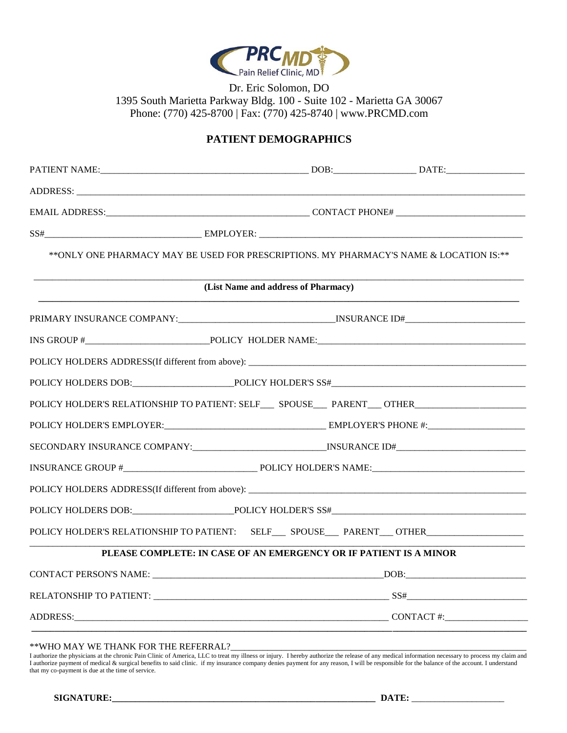

## **PATIENT DEMOGRAPHICS**

|                                               |                                                                   |                                     | **ONLY ONE PHARMACY MAY BE USED FOR PRESCRIPTIONS. MY PHARMACY'S NAME & LOCATION IS:**               |  |
|-----------------------------------------------|-------------------------------------------------------------------|-------------------------------------|------------------------------------------------------------------------------------------------------|--|
|                                               |                                                                   | (List Name and address of Pharmacy) |                                                                                                      |  |
|                                               |                                                                   |                                     |                                                                                                      |  |
|                                               |                                                                   |                                     |                                                                                                      |  |
|                                               |                                                                   |                                     |                                                                                                      |  |
|                                               |                                                                   |                                     |                                                                                                      |  |
|                                               |                                                                   |                                     | POLICY HOLDER'S RELATIONSHIP TO PATIENT: SELF_____ SPOUSE____ PARENT____OTHER_______________________ |  |
|                                               |                                                                   |                                     |                                                                                                      |  |
|                                               |                                                                   |                                     |                                                                                                      |  |
|                                               |                                                                   |                                     |                                                                                                      |  |
|                                               |                                                                   |                                     |                                                                                                      |  |
|                                               |                                                                   |                                     |                                                                                                      |  |
|                                               |                                                                   |                                     | POLICY HOLDER'S RELATIONSHIP TO PATIENT: SELF___ SPOUSE___ PARENT___OTHER___________________________ |  |
|                                               | PLEASE COMPLETE: IN CASE OF AN EMERGENCY OR IF PATIENT IS A MINOR |                                     |                                                                                                      |  |
| <b>CONTACT PERSON'S NAME:</b>                 |                                                                   |                                     | $\_\text{DOB:}\_\_\_\_\_\_\$                                                                         |  |
|                                               |                                                                   |                                     |                                                                                                      |  |
|                                               |                                                                   |                                     |                                                                                                      |  |
| $\ast\ast$ WHO MAY WE THANK FOR THE REFERRAL? |                                                                   |                                     |                                                                                                      |  |

I authorize the physicians at the chronic Pain Clinic of America, LLC to treat my illness or injury. I hereby authorize the release of any medical information necessary to process my claim and I authorize payment of medical & surgical benefits to said clinic. if my insurance company denies payment for any reason, I will be responsible for the balance of the account. I understand that my co-payment is due at the time of service.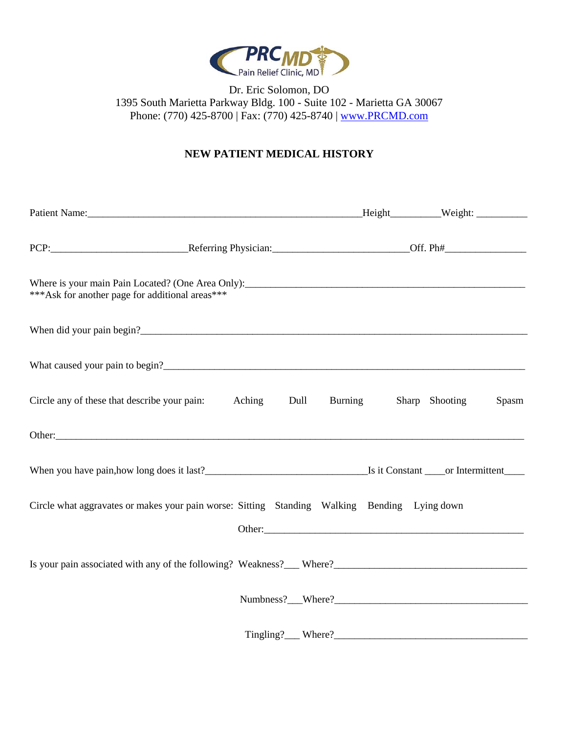

# **NEW PATIENT MEDICAL HISTORY**

| Patient Name: Weight: Weight: Weight: Weight: Weight: Weight: Weight: Weight: Weight: Weight: Weight: Weight: Weight: Weight: Weight: Weight: Weight: Weight: Weight: Weight: Weight: Weight: Weight: Weight: Weight: Weight: |  |  |  |       |
|-------------------------------------------------------------------------------------------------------------------------------------------------------------------------------------------------------------------------------|--|--|--|-------|
|                                                                                                                                                                                                                               |  |  |  |       |
| *** Ask for another page for additional areas***                                                                                                                                                                              |  |  |  |       |
|                                                                                                                                                                                                                               |  |  |  |       |
|                                                                                                                                                                                                                               |  |  |  |       |
| Circle any of these that describe your pain: Aching Dull Burning Sharp Shooting                                                                                                                                               |  |  |  | Spasm |
|                                                                                                                                                                                                                               |  |  |  |       |
|                                                                                                                                                                                                                               |  |  |  |       |
| Circle what aggravates or makes your pain worse: Sitting Standing Walking Bending Lying down                                                                                                                                  |  |  |  |       |
|                                                                                                                                                                                                                               |  |  |  |       |
|                                                                                                                                                                                                                               |  |  |  |       |
|                                                                                                                                                                                                                               |  |  |  |       |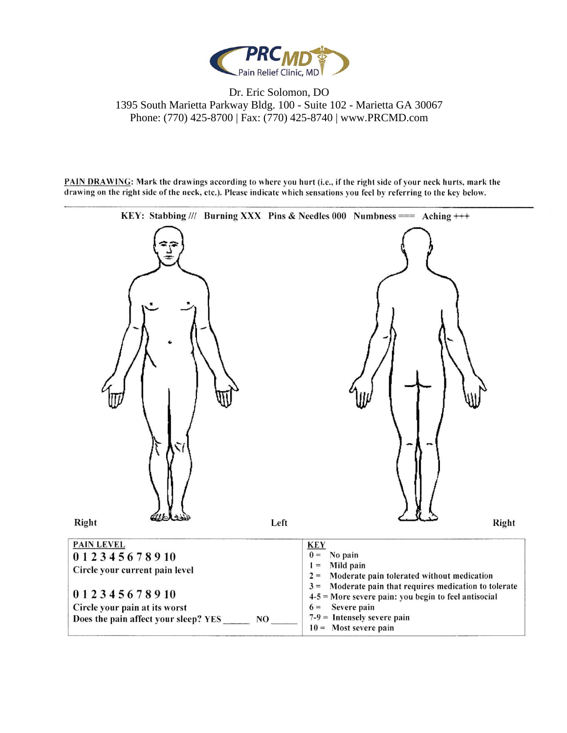

PAIN DRAWING: Mark the drawings according to where you hurt (i.e., if the right side of your neck hurts, mark the drawing on the right side of the neck, etc.). Please indicate which sensations you feel by referring to the key below.

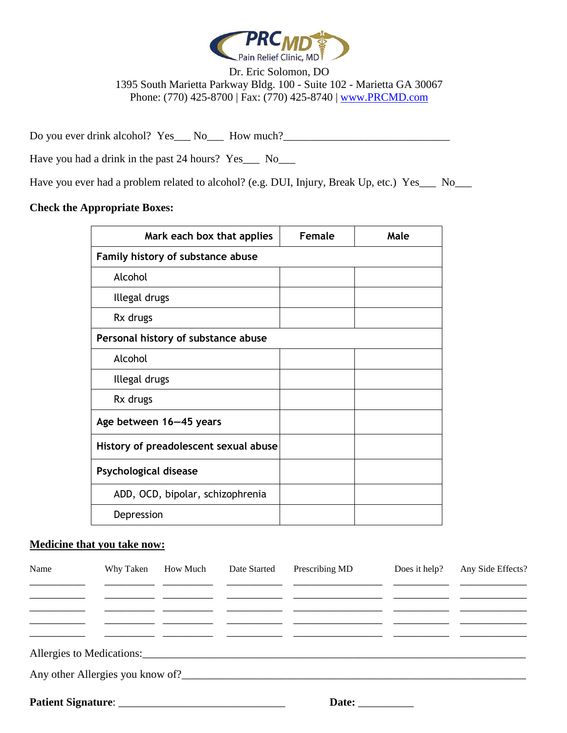

Do you ever drink alcohol? Yes\_\_\_ No\_\_\_ How much?\_\_\_\_\_\_\_\_\_\_\_\_\_\_\_\_\_\_\_\_\_\_\_\_\_\_\_\_\_\_\_

Have you had a drink in the past 24 hours? Yes No

Have you ever had a problem related to alcohol? (e.g. DUI, Injury, Break Up, etc.) Yes\_\_\_ No\_\_\_

## **Check the Appropriate Boxes:**

| Mark each box that applies            | Female | Male |
|---------------------------------------|--------|------|
| Family history of substance abuse     |        |      |
| Alcohol                               |        |      |
| Illegal drugs                         |        |      |
| Rx drugs                              |        |      |
| Personal history of substance abuse   |        |      |
| Alcohol                               |        |      |
| Illegal drugs                         |        |      |
| Rx drugs                              |        |      |
| Age between 16-45 years               |        |      |
| History of preadolescent sexual abuse |        |      |
| Psychological disease                 |        |      |
| ADD, OCD, bipolar, schizophrenia      |        |      |
| Depression                            |        |      |

#### **Medicine that you take now:**

| Name | Why Taken | <b>How Much</b> | Date Started | Prescribing MD                                              | Does it help? | Any Side Effects? |
|------|-----------|-----------------|--------------|-------------------------------------------------------------|---------------|-------------------|
|      |           |                 |              |                                                             |               |                   |
|      |           |                 |              |                                                             |               |                   |
|      |           |                 |              | <u> 1999 - Andrea Angel, Amerikaansk politiker († 1908)</u> |               |                   |
|      |           |                 |              |                                                             |               |                   |
|      |           |                 |              | Any other Allergies you know of?                            |               |                   |
|      |           |                 |              | Date:                                                       |               |                   |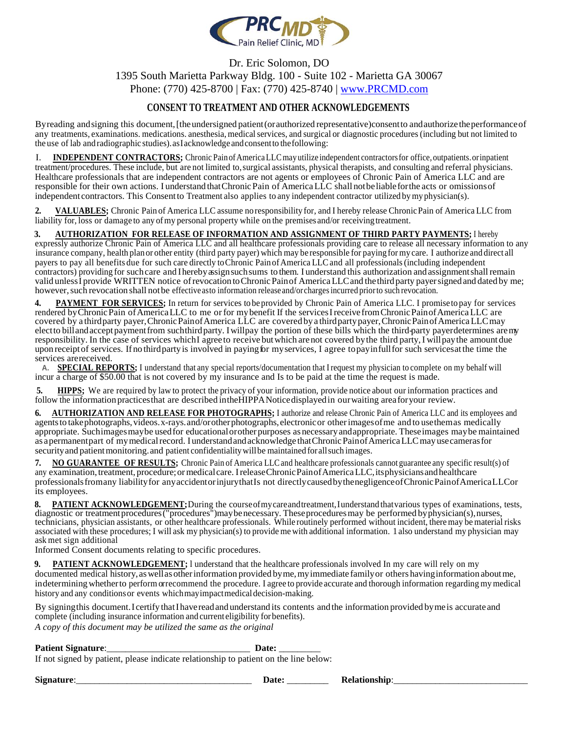

## **CONSENT TO TREATMENT AND OTHER ACKNOWLEDGEMENTS**

By reading and signing this document, [the undersigned patient (or authorized representative)consent to and authorize the performance of any treatments, examinations. medications. anesthesia, medicalservices, and surgical or diagnostic procedures (including but not limited to the use of lab and radiographic studies).asIacknowledge andconsentto thefollowing:

I. **INDEPENDENT CONTRACTORS;** Chronic PainofAmericaLLCmayutilize independent contractorsfor office, outpatients.orinpatient treatment/procedures. These include, but are not limited to,surgical assistants, physical therapists, and consulting and referral physicians. Healthcare professionals that are independent contractors are not agents or employees of Chronic Pain of America LLC and are responsible for their own actions. I understand thatChronicPain of AmericaLLC shall notbeliableforthe acts or omissionsof independent contractors. This Consent to Treatment also applies to any independent contractor utilized by my physician(s).

2. **VALUABLES;** Chronic Pain of America LLC assume no responsibility for, and I hereby release Chronic Pain of America LLC from liability for, loss or damage to any of my personal property while on the premises and/or receiving treatment.

**3. AUTHORIZATION FOR RELEASE OF INFORMATION AND ASSIGNMENT OF THIRD PARTY PAYMENTS;** I hereby expressly authorize Chronic Pain of America LLC and all healthcare professionals providing care to release all necessary information to any insurance company, health plan or other entity (third party payer) which may be responsible for payingfor my care. I authorize and direct all payers to pay all benefits due for such care directly to Chronic Pain of America LLC and all professionals (including independent contractors) providing for such care and I hereby assign such sums to them. I understand this authorization and assignment shall remain valid unlessI provide WRITTEN notice ofrevocation toChronicPainof AmericaLLCand thethird party payersignedand dated by me; however, such revocation shall not be effective asto information release and/or charges incurred prior to such revocation.

**4. PAYMENT FOR SERVICES;** In return for services to beprovided by Chronic Pain of America LLC. I promiseto pay for services rendered byChronicPain ofAmericaLLC to me orfor mybenefit If the servicesIreceive fromChronicPainofAmericaLLC are covered by a thirdparty payer, Chronic Painof America LLC are covered by a third party payer, Chronic Painof America LLC may electto billandaccept payment from suchthird party. I will pay the portion of these bills which the third-party payerdetermines are my responsibility. In the case of services whichI agree to receive butwhich arenot covered bythe third party,I willpaythe amount due upon receiptof services. Ifno thirdpartyis involved in payingfor myservices, I agree topayinfullfor such servicesatthe time the services arereceived.

**A. SPECIAL REPORTS;** I understand that any special reports/documentation that I request my physician to complete on my behalf will incur a charge of \$50.00 that is not covered by my insurance and Is to be paid at the time the request is made.

**5. HIPPS;** We are required by law to protect the privacy of your information, provide notice about our information practices and follow the informationpracticesthat are described intheHIPPANoticedisplayedin ourwaiting areaforyour review.

**6. AUTHORIZATION AND RELEASE FOR PHOTOGRAPHS;** I authorize and release Chronic Pain of America LLC and its employees and agentsto takephotographs, videos.x-rays.and/orotherphotographs,electronicor otherimagesofme and to usethemas medically appropriate. Suchimagesmaybe usedfor educationalorother purposes as necessaryandappropriate. Theseimages maybe maintained as a permanent part of my medical record. I understand and acknowledge that Chronic Pain of America LLC may use cameras for security and patient monitoring. and patient confidentiality will be maintained for all such images.

**7. NO GUARANTEE OF RESULTS;** Chronic Pain of America LLCand healthcare professionals cannot guarantee any specific result(s) of any examination, treatment, procedure; or medical care. I release Chronic Painof America LLC, its physicians and healthcare professionalsfromany liabilityfor anyaccidentorinjurythatIs not directlycausedbythenegligenceofChronicPainofAmericaLLCor its employees.

8. PATIENT ACKNOWLEDGEMENT; During the course of my care and treatment, I understand that various types of examinations, tests, diagnostic or treatment procedures ("procedures")may be necessary. These procedures may be performed by physician(s), nurses, technicians, physician assistants, or other healthcare professionals. While routinely performed without incident, theremay be materialrisks associated with these procedures; I will ask my physician(s) to provideme with additional information. 1 also understand my physician may ask met sign additional

Informed Consent documents relating to specific procedures.

**9. PATIENT ACKNOWLEDGEMENT;** l understand that the healthcare professionals involved In my care will rely on my documented medical history, as well as other information provided by me, my immediate family or others having information about me, indeterminingwhetherto perform or recommend the procedure. I agree to provide accurate and thorough information regarding mymedical history and any conditionsor events whichmayimpactmedicaldecision-making.

By signingthis document.I certify thatIhavereadand understand its contents andthe information provided bymeis accurate and complete (including insurance information and current eligibility forbenefits). *A copy of this document may be utilized the same as the original*

#### **Patient Signature**:\_\_\_\_\_\_\_\_\_\_\_\_\_\_\_\_\_\_\_\_\_\_\_\_\_\_\_\_\_\_\_ **Date:** \_\_\_\_\_\_\_\_\_

If not signed by patient, please indicate relationship to patient on the line below:

**Signature**:\_\_\_\_\_\_\_\_\_\_\_\_\_\_\_\_\_\_\_\_\_\_\_\_\_\_\_\_\_\_\_\_\_\_\_\_\_\_ **Date:** \_\_\_\_\_\_\_\_\_ **Relationship**:\_\_\_\_\_\_\_\_\_\_\_\_\_\_\_\_\_\_\_\_\_\_\_\_\_\_\_\_\_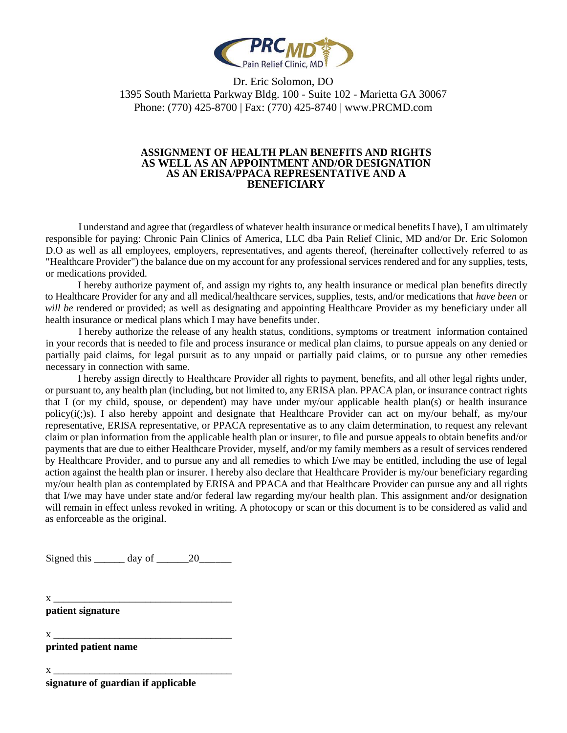

#### **ASSIGNMENT OF HEALTH PLAN BENEFITS AND RIGHTS AS WELL AS AN APPOINTMENT AND/OR DESIGNATION AS AN ERISA/PPACA REPRESENTATIVE AND A BENEFICIARY**

I understand and agree that (regardless of whatever health insurance or medical benefits I have), I am ultimately responsible for paying: Chronic Pain Clinics of America, LLC dba Pain Relief Clinic, MD and/or Dr. Eric Solomon D.O as well as all employees, employers, representatives, and agents thereof, (hereinafter collectively referred to as "Healthcare Provider") the balance due on my account for any professional services rendered and for any supplies, tests, or medications provided.

I hereby authorize payment of, and assign my rights to, any health insurance or medical plan benefits directly to Healthcare Provider for any and all medical/healthcare services, supplies, tests, and/or medications that *have been* or *will be* rendered or provided; as well as designating and appointing Healthcare Provider as my beneficiary under all health insurance or medical plans which I may have benefits under.

I hereby authorize the release of any health status, conditions, symptoms or treatment information contained in your records that is needed to file and process insurance or medical plan claims, to pursue appeals on any denied or partially paid claims, for legal pursuit as to any unpaid or partially paid claims, or to pursue any other remedies necessary in connection with same.

I hereby assign directly to Healthcare Provider all rights to payment, benefits, and all other legal rights under, or pursuant to, any health plan (including, but not limited to, any ERISA plan. PPACA plan, or insurance contract rights that I (or my child, spouse, or dependent) may have under my/our applicable health plan(s) or health insurance policy( $i(j)$ s). I also hereby appoint and designate that Healthcare Provider can act on my/our behalf, as my/our representative, ERISA representative, or PPACA representative as to any claim determination, to request any relevant claim or plan information from the applicable health plan or insurer, to file and pursue appeals to obtain benefits and/or payments that are due to either Healthcare Provider, myself, and/or my family members as a result of services rendered by Healthcare Provider, and to pursue any and all remedies to which I/we may be entitled, including the use of legal action against the health plan or insurer. I hereby also declare that Healthcare Provider is my/our beneficiary regarding my/our health plan as contemplated by ERISA and PPACA and that Healthcare Provider can pursue any and all rights that I/we may have under state and/or federal law regarding my/our health plan. This assignment and/or designation will remain in effect unless revoked in writing. A photocopy or scan or this document is to be considered as valid and as enforceable as the original.

Signed this  $\_\_\_\_\_\_\$  day of  $\_\_\_\_\_20$ 

 $x \perp$ **patient signature**

 $x \perp$ 

**printed patient name**

 $X \longrightarrow$ **signature of guardian if applicable**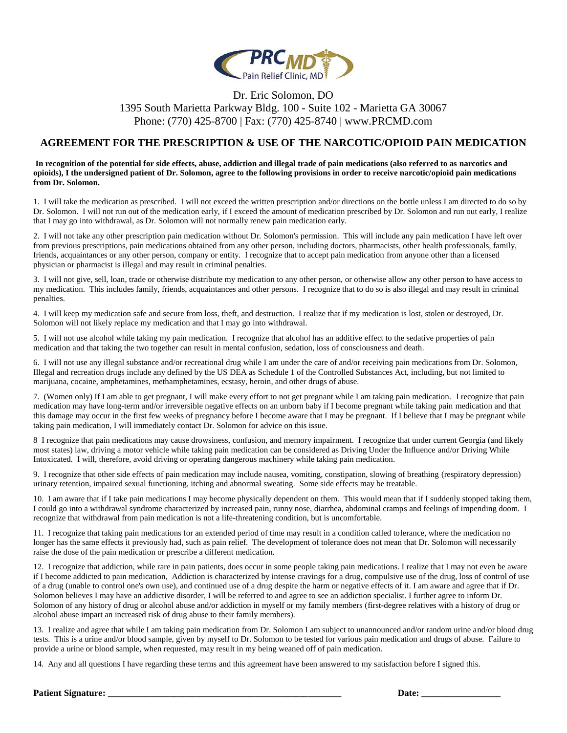

#### **AGREEMENT FOR THE PRESCRIPTION & USE OF THE NARCOTIC/OPIOID PAIN MEDICATION**

#### **In recognition of the potential for side effects, abuse, addiction and illegal trade of pain medications (also referred to as narcotics and opioids), I the undersigned patient of Dr. Solomon, agree to the following provisions in order to receive narcotic/opioid pain medications from Dr. Solomon.**

1. I will take the medication as prescribed. I will not exceed the written prescription and/or directions on the bottle unless I am directed to do so by Dr. Solomon. I will not run out of the medication early, if I exceed the amount of medication prescribed by Dr. Solomon and run out early, I realize that I may go into withdrawal, as Dr. Solomon will not normally renew pain medication early.

2. I will not take any other prescription pain medication without Dr. Solomon's permission. This will include any pain medication I have left over from previous prescriptions, pain medications obtained from any other person, including doctors, pharmacists, other health professionals, family, friends, acquaintances or any other person, company or entity. I recognize that to accept pain medication from anyone other than a licensed physician or pharmacist is illegal and may result in criminal penalties.

3. I will not give, sell, loan, trade or otherwise distribute my medication to any other person, or otherwise allow any other person to have access to my medication. This includes family, friends, acquaintances and other persons. I recognize that to do so is also illegal and may result in criminal penalties.

4. I will keep my medication safe and secure from loss, theft, and destruction. I realize that if my medication is lost, stolen or destroyed, Dr. Solomon will not likely replace my medication and that I may go into withdrawal.

5. I will not use alcohol while taking my pain medication. I recognize that alcohol has an additive effect to the sedative properties of pain medication and that taking the two together can result in mental confusion, sedation, loss of consciousness and death.

6. I will not use any illegal substance and/or recreational drug while I am under the care of and/or receiving pain medications from Dr. Solomon, Illegal and recreation drugs include any defined by the US DEA as Schedule 1 of the Controlled Substances Act, including, but not limited to marijuana, cocaine, amphetamines, methamphetamines, ecstasy, heroin, and other drugs of abuse.

7. (Women only) If I am able to get pregnant, I will make every effort to not get pregnant while I am taking pain medication. I recognize that pain medication may have long-term and/or irreversible negative effects on an unborn baby if I become pregnant while taking pain medication and that this damage may occur in the first few weeks of pregnancy before I become aware that I may be pregnant. If I believe that I may be pregnant while taking pain medication, I will immediately contact Dr. Solomon for advice on this issue.

8 I recognize that pain medications may cause drowsiness, confusion, and memory impairment. I recognize that under current Georgia (and likely most states) law, driving a motor vehicle while taking pain medication can be considered as Driving Under the Influence and/or Driving While Intoxicated. I will, therefore, avoid driving or operating dangerous machinery while taking pain medication.

9. I recognize that other side effects of pain medication may include nausea, vomiting, constipation, slowing of breathing (respiratory depression) urinary retention, impaired sexual functioning, itching and abnormal sweating. Some side effects may be treatable.

10. I am aware that if I take pain medications I may become physically dependent on them. This would mean that if I suddenly stopped taking them, I could go into a withdrawal syndrome characterized by increased pain, runny nose, diarrhea, abdominal cramps and feelings of impending doom. I recognize that withdrawal from pain medication is not a life-threatening condition, but is uncomfortable.

11. I recognize that taking pain medications for an extended period of time may result in a condition called tolerance, where the medication no longer has the same effects it previously had, such as pain relief. The development of tolerance does not mean that Dr. Solomon will necessarily raise the dose of the pain medication or prescribe a different medication.

12. I recognize that addiction, while rare in pain patients, does occur in some people taking pain medications. I realize that I may not even be aware if I become addicted to pain medication, Addiction is characterized by intense cravings for a drug, compulsive use of the drug, loss of control of use of a drug (unable to control one's own use), and continued use of a drug despite the harm or negative effects of it. I am aware and agree that if Dr. Solomon believes I may have an addictive disorder, I will be referred to and agree to see an addiction specialist. I further agree to inform Dr. Solomon of any history of drug or alcohol abuse and/or addiction in myself or my family members (first-degree relatives with a history of drug or alcohol abuse impart an increased risk of drug abuse to their family members).

13. I realize and agree that while I am taking pain medication from Dr. Solomon I am subject to unannounced and/or random urine and/or blood drug tests. This is a urine and/or blood sample, given by myself to Dr. Solomon to be tested for various pain medication and drugs of abuse. Failure to provide a urine or blood sample, when requested, may result in my being weaned off of pain medication.

14. Any and all questions I have regarding these terms and this agreement have been answered to my satisfaction before I signed this.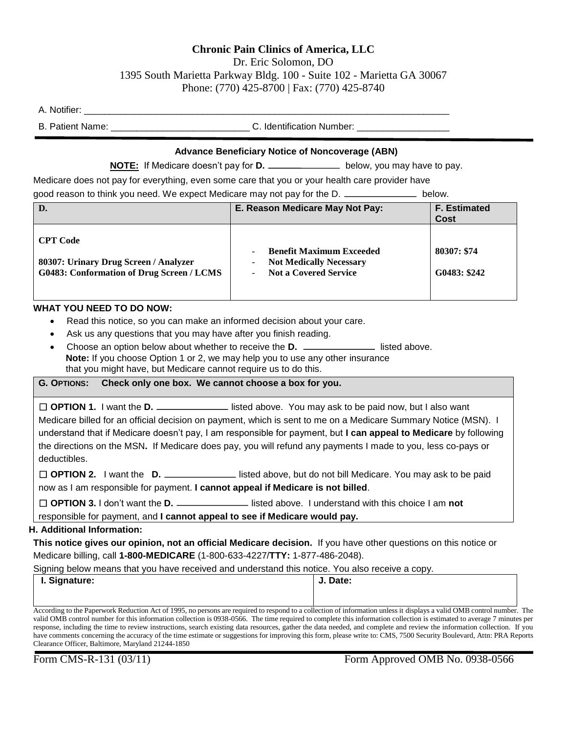### **Chronic Pain Clinics of America, LLC**

Dr. Eric Solomon, DO

1395 South Marietta Parkway Bldg. 100 - Suite 102 - Marietta GA 30067

Phone: (770) 425-8700 | Fax: (770) 425-8740

A. Notifier: \_\_\_\_\_\_\_\_\_\_\_\_\_\_\_\_\_\_\_\_\_\_\_\_\_\_\_\_\_\_\_\_\_\_\_\_\_\_\_\_\_\_\_\_\_\_\_\_\_\_\_\_\_\_\_\_\_\_\_\_\_\_\_\_\_\_\_\_\_\_\_

B. Patient Name: \_\_\_\_\_\_\_\_\_\_\_\_\_\_\_\_\_\_\_\_\_\_\_\_\_\_\_\_\_\_\_\_\_\_C. Identification Number: \_\_\_\_\_\_\_\_

#### **Advance Beneficiary Notice of Noncoverage (ABN)**

**NOTE:** If Medicare doesn't pay for **D. below, you may have to pay.** 

Medicare does not pay for everything, even some care that you or your health care provider have good reason to think you need. We expect Medicare may not pay for the D. **comediate** below.

| D.                                                                                                           | E. Reason Medicare May Not Pay:                                                                   | <b>F. Estimated</b><br><b>Cost</b> |
|--------------------------------------------------------------------------------------------------------------|---------------------------------------------------------------------------------------------------|------------------------------------|
| <b>CPT Code</b><br>80307: Urinary Drug Screen / Analyzer<br><b>G0483: Conformation of Drug Screen / LCMS</b> | <b>Benefit Maximum Exceeded</b><br><b>Not Medically Necessary</b><br><b>Not a Covered Service</b> | 80307: \$74<br>G0483: \$242        |

#### **WHAT YOU NEED TO DO NOW:**

- Read this notice, so you can make an informed decision about your care.
- Ask us any questions that you may have after you finish reading.
- Choose an option below about whether to receive the **D. listed above. Note:** If you choose Option 1 or 2, we may help you to use any other insurance that you might have, but Medicare cannot require us to do this.

#### **G***.* **OPTIONS: Check only one box. We cannot choose a box for you.**

☐ **OPTION 1.** I want the **D.** listed above. You may ask to be paid now, but I also want Medicare billed for an official decision on payment, which is sent to me on a Medicare Summary Notice (MSN). I understand that if Medicare doesn't pay, I am responsible for payment, but **I can appeal to Medicare** by following the directions on the MSN**.** If Medicare does pay, you will refund any payments I made to you, less co-pays or deductibles.

☐ **OPTION 2.** I want the **D.** listed above, but do not bill Medicare. You may ask to be paid now as I am responsible for payment. **I cannot appeal if Medicare is not billed**.

☐ **OPTION 3.** I don't want the **D.** listed above. I understand with this choice I am **not** responsible for payment, and **I cannot appeal to see if Medicare would pay.**

#### **H. Additional Information:**

**This notice gives our opinion, not an official Medicare decision.** If you have other questions on this notice or Medicare billing, call **1-800-MEDICARE** (1-800-633-4227/**TTY:** 1-877-486-2048).

Signing below means that you have received and understand this notice. You also receive a copy.

| I. Signature: | J. Date: |
|---------------|----------|
|               |          |

According to the Paperwork Reduction Act of 1995, no persons are required to respond to a collection of information unless it displays a valid OMB control number. The valid OMB control number for this information collection is 0938-0566. The time required to complete this information collection is estimated to average 7 minutes per response, including the time to review instructions, search existing data resources, gather the data needed, and complete and review the information collection. If you have comments concerning the accuracy of the time estimate or suggestions for improving this form, please write to: CMS, 7500 Security Boulevard, Attn: PRA Reports Clearance Officer, Baltimore, Maryland 21244-1850